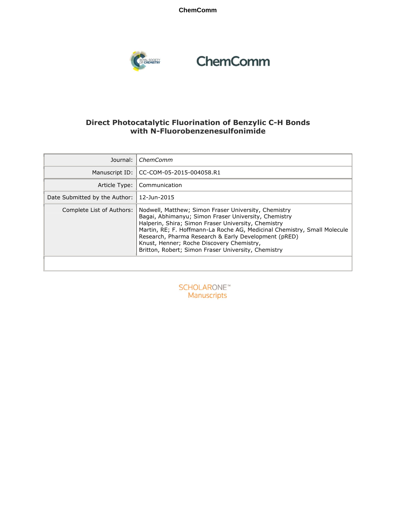**ChemComm**



# ChemComm

#### **Direct Photocatalytic Fluorination of Benzylic C-H Bonds with N-Fluorobenzenesulfonimide**

| Journal:                      | ChemComm                                                                                                                                                                                                                                                                                                                                                                                                    |
|-------------------------------|-------------------------------------------------------------------------------------------------------------------------------------------------------------------------------------------------------------------------------------------------------------------------------------------------------------------------------------------------------------------------------------------------------------|
| Manuscript ID:                | CC-COM-05-2015-004058.R1                                                                                                                                                                                                                                                                                                                                                                                    |
| Article Type:                 | Communication                                                                                                                                                                                                                                                                                                                                                                                               |
| Date Submitted by the Author: | 12-Jun-2015                                                                                                                                                                                                                                                                                                                                                                                                 |
| Complete List of Authors:     | Nodwell, Matthew; Simon Fraser University, Chemistry<br>Bagai, Abhimanyu; Simon Fraser University, Chemistry<br>Halperin, Shira; Simon Fraser University, Chemistry<br>Martin, RE; F. Hoffmann-La Roche AG, Medicinal Chemistry, Small Molecule<br>Research, Pharma Research & Early Development (pRED)<br>Knust, Henner; Roche Discovery Chemistry,<br>Britton, Robert; Simon Fraser University, Chemistry |

**SCHOLARONE™** Manuscripts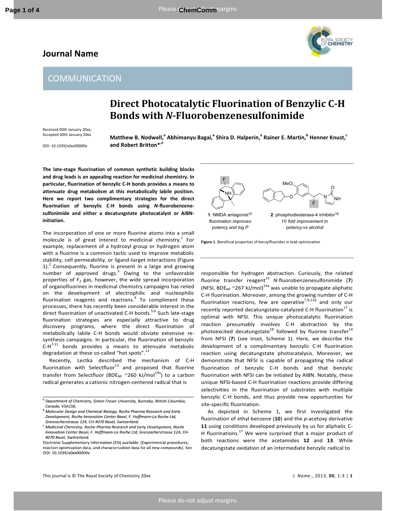#### **Journal Name**



### **COMMUNICATION**

## **Direct Photocatalytic Fluorination of Benzylic C-H Bonds with** *N***-Fluorobenzenesulfonimide**

Received 00th January 20xx, Accepted 00th January 20xx

DOI: 10.1039/x0xx00000x

**Matthew B. Nodwell,<sup>a</sup> Abhimanyu Bagai,<sup>a</sup> Shira D. Halperin,<sup>a</sup> Rainer E. Martin,<sup>b</sup> Henner Knust,<sup>c</sup> and Robert Britton\*,a**

**The late-stage fluorination of common synthetic building blocks and drug leads is an appealing reaction for medicinal chemistry. In particular, fluorination of benzylic C-H bonds provides a means to attenuate drug metabolism at this metabolically labile position. Here we report two complimentary strategies for the direct fluorination of benzylic C-H bonds using** *N***-fluorobenzenesulfonimide and either a decatungstate photocatalyst or AIBNinitiation.** 

The incorporation of one or more fluorine atoms into a small molecule is of great interest to medicinal chemistry.<sup>1</sup> For example, replacement of a hydroxyl group or hydrogen atom with a fluorine is a common tactic used to improve metabolic stability, cell permeability, or ligand-target interactions (Figure  $1$ ).<sup>2</sup> Consequently, fluorine is present in a large and growing number of approved drugs.<sup>3</sup> Owing to the unfavorable properties of  $F_2$  gas, however, the wide spread incorporation of organofluorines in medicinal chemistry campaigns has relied on the development of electrophilic and nucleophilic fluorination reagents and reactions.<sup>4</sup> To compliment these processes, there has recently been considerable interest in the direct fluorination of unactivated C-H bonds.<sup>5,6</sup> Such late-stage fluorination strategies are especially attractive to drug discovery programs, where the direct fluorination of metabolically labile C-H bonds would obviate extensive resynthesis campaigns. In particular, the fluorination of benzylic  $C-H^{7-11}$  bonds provides a means to attenuate metabolic degradation at these so-called "hot spots".<sup>12</sup>

Recently, Lectka described the mechanism of C-H fluorination with Selectfluor $^{13}$  and proposed that fluorine transfer from Selectfluor (BDE<sub>NF</sub> ~260 kJ/mol<sup>14a</sup>) to a carbon radical generates a cationic nitrogen-centered radical that is

Electronic Supplementary Information (ESI) available: [Experimental procedures, reaction optimization data, and characterization data for all new compounds]. See DOI: 10.1039/x0xx00000x





**Figure 1**. Beneficial properties of benzylfluorides in lead optimization

responsible for hydrogen abstraction. Curiously, the related fluorine transfer reagent<sup>14</sup> N-fluorobenzenesulfonimide (7) (NFSI, BDE<sub>NF</sub> ~267 kJ/mol)<sup>14a</sup> was unable to propagate aliphatic C-H fluorination. Moreover, among the growing number of C-H fluorination reactions, few are operative<sup>7,9,11d</sup> and only our recently reported decatungstate-catalyzed C-H fluorination<sup>17</sup> is optimal with NFSI. This unique photocatalytic fluorination reaction presumably involves C-H abstraction by the photoexcited decatungstate<sup>18</sup> followed by fluorine transfer<sup>14</sup> from NFSI (**7**) (see inset, Scheme 1). Here, we describe the development of a complimentary benzylic C-H fluorination reaction using decatungstate photocatalysis. Moreover, we demonstrate that NFSI is capable of propagating the radical fluorination of benzylic C-H bonds and that benzylic fluorination with NFSI can be initiated by AIBN. Notably, these unique NFSI-based C-H fluorination reactions provide differing selectivities in the fluorination of substrates with multiple benzylic C-H bonds, and thus provide new opportunities for site-specific fluorination.

 As depicted in Scheme 1, we first investigated the fluorination of ethyl benzene (**10**) and the *p*-acetoxy derivative **11** using conditions developed previously by us for aliphatic C-H fluorinations.<sup>17</sup> We were surprised that a major product of both reactions were the acetamides **12** and **13**. While decatungstate oxidation of an intermediate benzylic radical to

<sup>&</sup>lt;sup>a</sup> Department of Chemistry, Simon Fraser University, Burnaby, British Columbia, Canada, V5A1S6.

<sup>&</sup>lt;sup>b.</sup> Molecular Design and Chemical Biology, Roche Pharma Research and Early Development, Roche Innovation Center Basel, F. Hoffmann-La Roche Ltd, Grenzacherstrasse 124, CH-4070 Basel, Switzerland.

<sup>&</sup>lt;sup>c.</sup> Medicinal Chemistry, Roche Pharma Research and Early Development, Roche Innovation Center Basel, F. Hoffmann-La Roche Ltd, Grenzacherstrasse 124, CH-4070 Basel, Switzerland.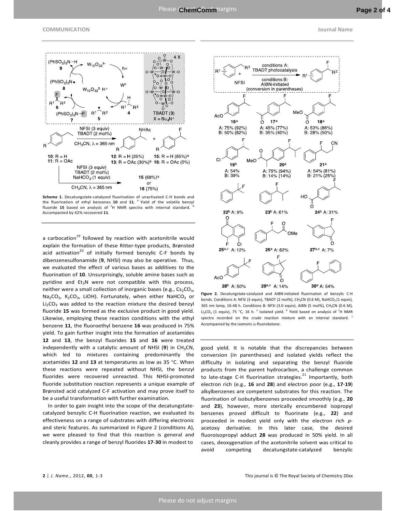

**Scheme 1.** Decatungstate-catalyzed fluorination of unactivated C-H bonds and the fluorination of ethyl benzenes 10 and 11. <sup>a</sup> Yield of the volatile benzyl fluoride 15 based on analysis of <sup>1</sup>H NMR spectra with internal standard. <sup>b</sup> Accompanied by 42% recovered **11**.

a carbocation $^{19}$  followed by reaction with acetonitrile would explain the formation of these Ritter-type products, Brønsted acid activation<sup>20</sup> of initially formed benzylic C-F bonds by dibenzenesulfonamide (**9**, NHSI) may also be operative. Thus, we evaluated the effect of various bases as additives to the fluorination of **10**. Unsurprisingly, soluble amine bases such as pyridine and  $Et_3N$  were not compatible with this process, neither were a small collection of inorganic bases (e.g.,  $Cs<sub>2</sub>CO<sub>3</sub>$ , Na<sub>2</sub>CO<sub>3</sub>, K<sub>2</sub>CO<sub>3</sub>, LiOH). Fortunately, when either NaHCO<sub>3</sub> or  $Li<sub>2</sub>CO<sub>3</sub>$  was added to the reaction mixture the desired benzyl fluoride **15** was formed as the exclusive product in good yield. Likewise, employing these reaction conditions with the ethyl benzene **11**, the fluoroethyl benzene **16** was produced in 75% yield. To gain further insight into the formation of acetamides **12** and **13**, the benzyl fluorides **15** and **16** were treated independently with a catalytic amount of NHSI  $(9)$  in CH<sub>3</sub>CN, which led to mixtures containing predominantly the acetamides **12** and **13** at temperatures as low as 35 °C. When these reactions were repeated without NHSI, the benzyl fluorides were recovered unreacted. This NHSI-promoted fluoride substitution reaction represents a unique example of Brønsted acid catalyzed C-F activation and may prove itself to be a useful transformation with further examination.

 In order to gain insight into the scope of the decatungstatecatalyzed benzylic C-H fluorination reaction, we evaluated its effectiveness on a range of substrates with differing electronic and steric features. As summarized in Figure 2 (conditions A), we were pleased to find that this reaction is general and cleanly provides a range of benzyl fluorides **17**-**30** in modest to



**Figure 2.** Decatungstate-catalyzed and AIBN-initiated fluorination of benzylic C-H bonds. Conditions A: NFSI (3 equiv), TBADT (2 mol%), CH<sub>3</sub>CN (0.6 M), NaHCO<sub>3</sub> (1 equiv), 365 nm lamp, 16-48 h. Conditions B: NFSI (3.0 equiv), AIBN (5 mol%), CH3CN (0.6 M), Li<sub>2</sub>CO<sub>3</sub> (1 equiv), 75 °C, 16 h. <sup>a</sup> Isolated yield. <sup>b</sup> Yield based on analysis of <sup>1</sup>H NMR spectra recorded on the crude reaction mixture with an internal standard. <sup>c</sup> Accompanied by the isomeric  $\alpha$ -fluoroketone.

good yield. It is notable that the discrepancies between conversion (in parentheses) and isolated yields reflect the difficulty in isolating and separating the benzyl fluoride products from the parent hydrocarbon, a challenge common to late-stage C-H fluorination strategies. $^{21}$  Importantly, both electron rich (e.g., **16** and **28**) and electron poor (e.g., **17**-**19**) alkylbenzenes are competent substrates for this reaction. The fluorination of isobutylbenzenes proceeded smoothly (e.g., **20** and **23**), however, more sterically encumbered isopropyl benzenes proved difficult to fluorinate (e.g., **22**) and proceeded in modest yield only with the electron rich *p*acetoxy derivative. In this later case, the desired fluoroisopropyl adduct **28** was produced in 50% yield. In all cases, deoxygenation of the acetonitrile solvent was critical to avoid competing decatungstate-catalyzed benzylic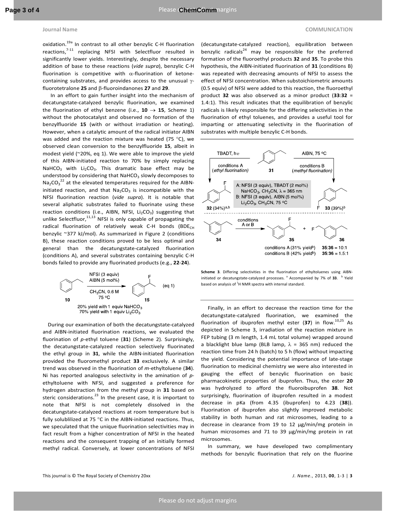oxidation.<sup>19a</sup> In contrast to all other benzylic C-H fluorination reactions,<sup>7-11</sup> replacing NFSI with Selectfluor resulted in significantly lower yields. Interestingly, despite the necessary addition of base to these reactions (*vide supra*), benzylic C-H fluorination is competitive with  $\alpha$ -fluorination of ketonecontaining substrates, and provides access to the unusual γfluorotetralone **25** and β-fluoroindanones **27** and **29**.

 In an effort to gain further insight into the mechanism of decatungstate-catalyzed benzylic fluorination, we examined the fluorination of ethyl benzene (i.e.,  $10 \rightarrow 15$ , Scheme 1) without the photocatalyst and observed no formation of the benzylfluoride **15** (with or without irradiation or heating). However, when a catalytic amount of the radical initiator AIBN was added and the reaction mixture was heated (75  $^{\circ}$ C), we observed clean conversion to the benzylfluoride **15**, albeit in modest yield (~20%, eq 1). We were able to improve the yield of this AIBN-initiated reaction to 70% by simply replacing NaHCO<sub>3</sub> with Li<sub>2</sub>CO<sub>3</sub>. This dramatic base effect may be understood by considering that NaHCO<sub>3</sub> slowly decomposes to  $\text{Na}_2\text{CO}_3^{22}$  at the elevated temperatures required for the AIBNinitiated reaction, and that  $Na<sub>2</sub>CO<sub>3</sub>$  is incompatible with the NFSI fluorination reaction (*vide supra*). It is notable that several aliphatic substrates failed to fluorinate using these reaction conditions (i.e., AIBN, NFSI,  $Li_2CO_3$ ) suggesting that unlike Selectfluor, $11,13$  NFSI is only capable of propagating the radical fluorination of relatively weak C-H bonds (BDE $_{CH}$ benzylic ~377 kJ/mol). As summarized in Figure 2 (conditions B), these reaction conditions proved to be less optimal and general than the decatungstate-catalyzed fluorination (conditions A), and several substrates containing benzylic C-H bonds failed to provide any fluorinated products (e.g., **22**-**24**).



 During our examination of both the decatungstate-catalyzed and AIBN-initiated fluorination reactions, we evaluated the fluorination of *p*-ethyl toluene (**31**) (Scheme 2). Surprisingly, the decatungstate-catalyzed reaction selectively fluorinated the ethyl group in **31**, while the AIBN-initiated fluorination provided the fluoromethyl product **33** exclusively. A similar trend was observed in the fluorination of *m*-ethyltoluene (**34**). Ni has reported analogous selectivity in the amination of *p*ethyltoluene with NFSI, and suggested a preference for hydrogen abstraction from the methyl group in **31** based on steric considerations. $^{23}$  In the present case, it is important to note that NFSI is not completely dissolved in the decatungstate-catalyzed reactions at room temperature but is fully solublilized at 75 °C in the AIBN-initiated reactions. Thus, we speculated that the unique fluorination selectivities may in fact result from a higher concentration of NFSI in the heated reactions and the consequent trapping of an initially formed methyl radical. Conversely, at lower concentrations of NFSI

(decatungstate-catalyzed reaction), equilibration between benzylic radicals $^{24}$  may be responsible for the preferred formation of the fluoroethyl products **32** and **35**. To probe this hypothesis, the AIBN-initiated fluorination of **31** (conditions B) was repeated with decreasing amounts of NFSI to assess the effect of NFSI concentration. When substoichiometric amounts (0.5 equiv) of NFSI were added to this reaction, the fluoroethyl product **32** was also observed as a minor product (**33**:**32** = 1.4:1). This result indicates that the equilibration of benzylic radicals is likely responsible for the differing selectivities in the fluorination of ethyl toluenes, and provides a useful tool for imparting or attenuating selectivity in the fluorination of substrates with multiple benzylic C-H bonds.



**Scheme 3**. Differing selectivities in the fluorination of ethyltoluenes using AIBNinitiated or decatungstate-catalyzed processes. <sup>a</sup> Accompanied by 7% of 33. <sup>b</sup> Yield based on analysis of  ${}^{1}$ H NMR spectra with internal standard.

 Finally, in an effort to decrease the reaction time for the decatungstate-catalyzed fluorination, we examined the fluorination of ibuprofen methyl ester (37) in flow.<sup>10,25</sup> As depicted in Scheme 3, irradiation of the reaction mixture in FEP tubing (3 m length, 1.4 mL total volume) wrapped around a blacklight blue lamp (BLB lamp,  $\lambda$  = 365 nm) reduced the reaction time from 24 h (batch) to 5 h (flow) without impacting the yield. Considering the potential importance of late-stage fluorination to medicinal chemistry we were also interested in gauging the effect of benzylic fluorination on basic pharmacokinetic properties of ibuprofen. Thus, the ester **20** was hydrolyzed to afford the fluoroibuprofen **38**. Not surprisingly, fluorination of ibuprofen resulted in a modest decrease in pKa (from 4.35 (ibuprofen) to 4.23 (**38**)). Fluorination of ibuprofen also slightly improved metabolic stability in both human and rat microsomes, leading to a decrease in clearance from 19 to 12 µg/min/mg protein in human microsomes and 71 to 39 µg/min/mg protein in rat microsomes.

 In summary, we have developed two complimentary methods for benzylic fluorination that rely on the fluorine